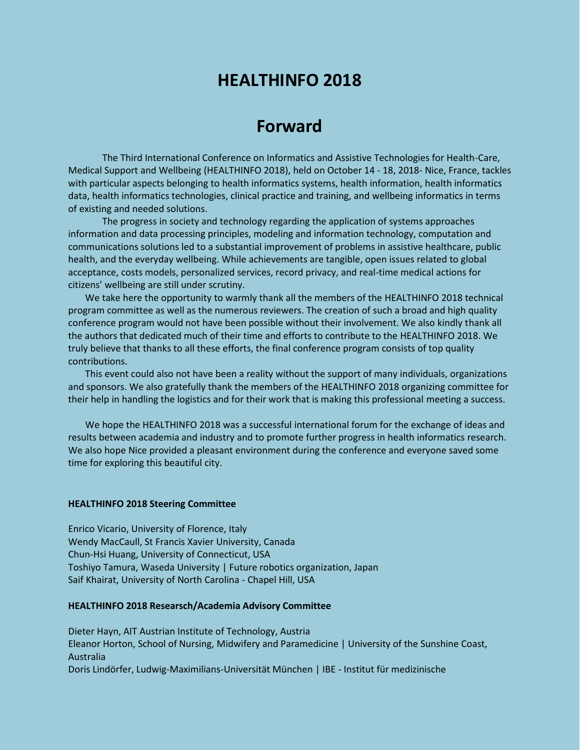## **HEALTHINFO 2018**

## **Forward**

The Third International Conference on Informatics and Assistive Technologies for Health-Care, Medical Support and Wellbeing (HEALTHINFO 2018), held on October 14 - 18, 2018- Nice, France, tackles with particular aspects belonging to health informatics systems, health information, health informatics data, health informatics technologies, clinical practice and training, and wellbeing informatics in terms of existing and needed solutions.

The progress in society and technology regarding the application of systems approaches information and data processing principles, modeling and information technology, computation and communications solutions led to a substantial improvement of problems in assistive healthcare, public health, and the everyday wellbeing. While achievements are tangible, open issues related to global acceptance, costs models, personalized services, record privacy, and real-time medical actions for citizens' wellbeing are still under scrutiny.

We take here the opportunity to warmly thank all the members of the HEALTHINFO 2018 technical program committee as well as the numerous reviewers. The creation of such a broad and high quality conference program would not have been possible without their involvement. We also kindly thank all the authors that dedicated much of their time and efforts to contribute to the HEALTHINFO 2018. We truly believe that thanks to all these efforts, the final conference program consists of top quality contributions.

This event could also not have been a reality without the support of many individuals, organizations and sponsors. We also gratefully thank the members of the HEALTHINFO 2018 organizing committee for their help in handling the logistics and for their work that is making this professional meeting a success.

We hope the HEALTHINFO 2018 was a successful international forum for the exchange of ideas and results between academia and industry and to promote further progress in health informatics research. We also hope Nice provided a pleasant environment during the conference and everyone saved some time for exploring this beautiful city.

## **HEALTHINFO 2018 Steering Committee**

Enrico Vicario, University of Florence, Italy Wendy MacCaull, St Francis Xavier University, Canada Chun-Hsi Huang, University of Connecticut, USA Toshiyo Tamura, Waseda University | Future robotics organization, Japan Saif Khairat, University of North Carolina - Chapel Hill, USA

## **HEALTHINFO 2018 Researsch/Academia Advisory Committee**

Dieter Hayn, AIT Austrian Institute of Technology, Austria Eleanor Horton, School of Nursing, Midwifery and Paramedicine | University of the Sunshine Coast, Australia Doris Lindörfer, Ludwig-Maximilians-Universität München | IBE - Institut für medizinische